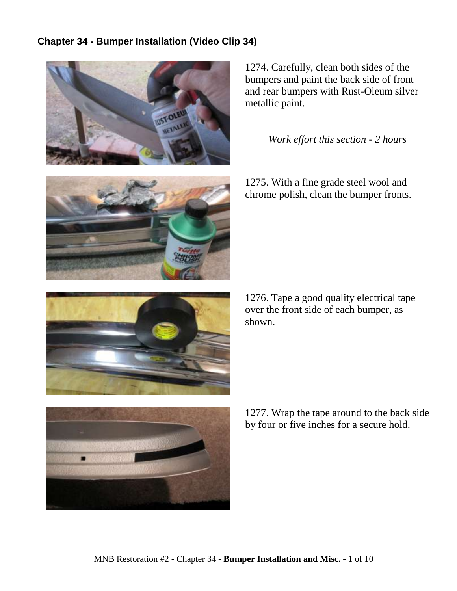## **Chapter 34 - Bumper Installation (Video Clip 34)**



1274. Carefully, clean both sides of the bumpers and paint the back side of front and rear bumpers with Rust-Oleum silver metallic paint.

## *Work effort this section - 2 hours*





1276. Tape a good quality electrical tape over the front side of each bumper, as shown.



1277. Wrap the tape around to the back side by four or five inches for a secure hold.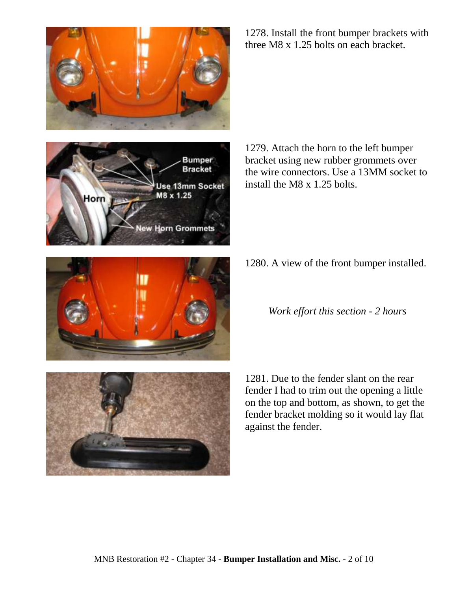



**Bracket** 



1279. Attach the horn to the left bumper bracket using new rubber grommets over the wire connectors. Use a 13MM socket to install the M8 x 1.25 bolts.

1280. A view of the front bumper installed.

*Work effort this section - 2 hours*

1281. Due to the fender slant on the rear fender I had to trim out the opening a little on the top and bottom, as shown, to get the fender bracket molding so it would lay flat against the fender.



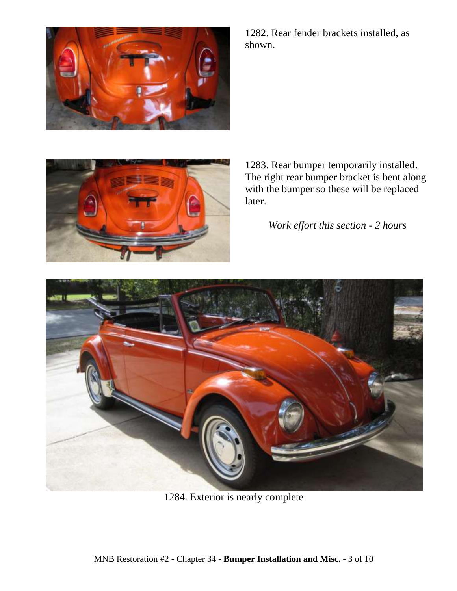

1282. Rear fender brackets installed, as shown.



1283. Rear bumper temporarily installed. The right rear bumper bracket is bent along with the bumper so these will be replaced later.

*Work effort this section - 2 hours*



1284. Exterior is nearly complete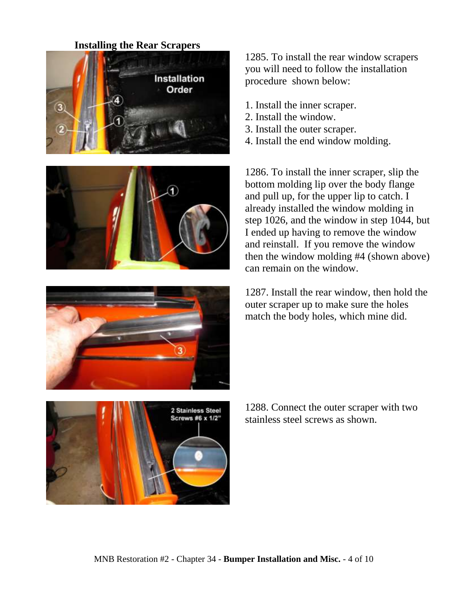## **Installing the Rear Scrapers**









1285. To install the rear window scrapers you will need to follow the installation procedure shown below:

- 1. Install the inner scraper.
- 2. Install the window.
- 3. Install the outer scraper.
- 4. Install the end window molding.

1286. To install the inner scraper, slip the bottom molding lip over the body flange and pull up, for the upper lip to catch. I already installed the window molding in step 1026, and the window in step 1044, but I ended up having to remove the window and reinstall. If you remove the window then the window molding #4 (shown above) can remain on the window.

1287. Install the rear window, then hold the outer scraper up to make sure the holes match the body holes, which mine did.

1288. Connect the outer scraper with two stainless steel screws as shown.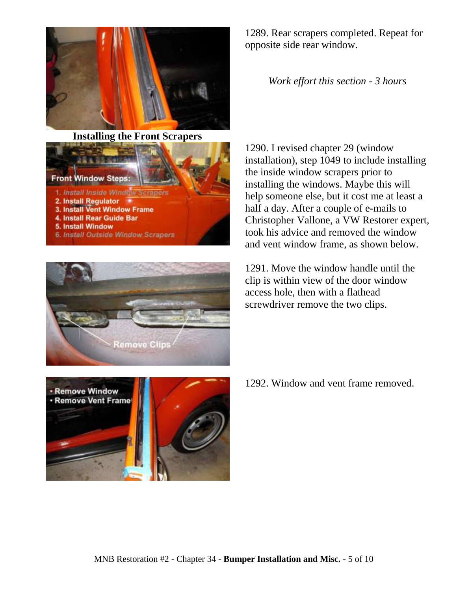

**Installing the Front Scrapers**





1289. Rear scrapers completed. Repeat for opposite side rear window.

*Work effort this section - 3 hours*

1290. I revised chapter 29 (window installation), step 1049 to include installing the inside window scrapers prior to installing the windows. Maybe this will help someone else, but it cost me at least a half a day. After a couple of e-mails to Christopher Vallone, a VW Restorer expert, took his advice and removed the window and vent window frame, as shown below.

1291. Move the window handle until the clip is within view of the door window access hole, then with a flathead screwdriver remove the two clips.



1292. Window and vent frame removed.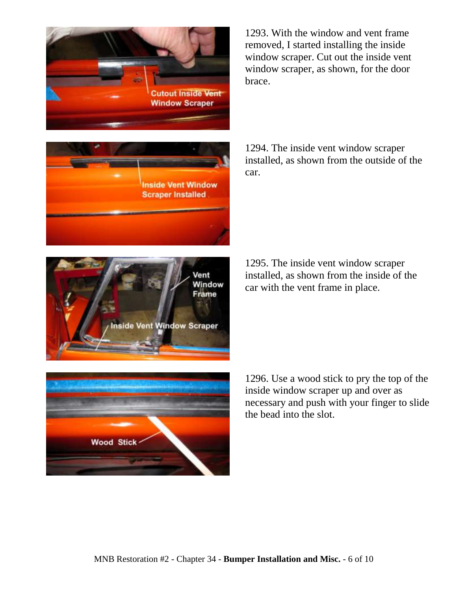





1293. With the window and vent frame removed, I started installing the inside window scraper. Cut out the inside vent window scraper, as shown, for the door brace.

1294. The inside vent window scraper installed, as shown from the outside of the car.

1295. The inside vent window scraper installed, as shown from the inside of the car with the vent frame in place.



1296. Use a wood stick to pry the top of the inside window scraper up and over as necessary and push with your finger to slide the bead into the slot.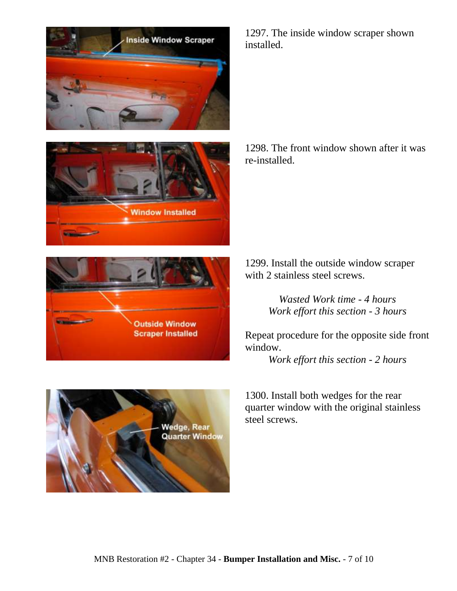





1298. The front window shown after it was re-installed.





1299. Install the outside window scraper with 2 stainless steel screws.

> *Wasted Work time - 4 hours Work effort this section - 3 hours*

Repeat procedure for the opposite side front window.

*Work effort this section - 2 hours*

1300. Install both wedges for the rear quarter window with the original stainless steel screws.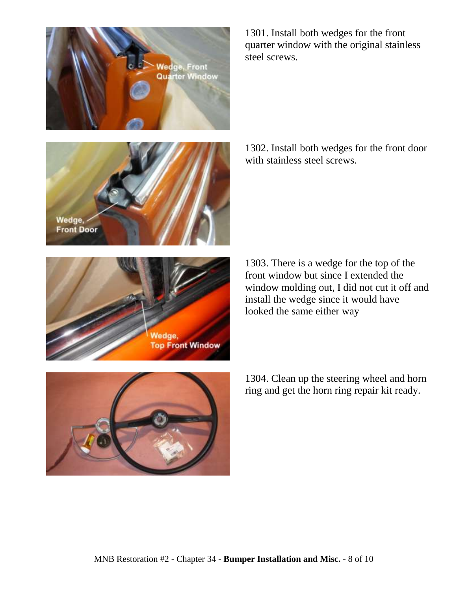



1301. Install both wedges for the front quarter window with the original stainless steel screws.

1302. Install both wedges for the front door with stainless steel screws.



1303. There is a wedge for the top of the front window but since I extended the window molding out, I did not cut it off and install the wedge since it would have looked the same either way



1304. Clean up the steering wheel and horn ring and get the horn ring repair kit ready.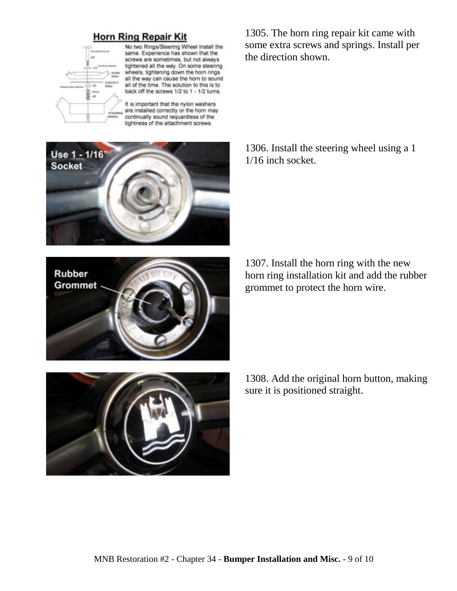## **Horn Ring Repair Kit**



No two Rings/Steering Wheel Install the same. Experience has shown that the screws are sometimes, but not always tightened all the way. On some steering wheels, tightening down the horn rings all the way can cause the horn to sound all of the time. The solution to this is to back off the screws 1/2 to 1 - 1/2 turns.

It is important that the nylon washers are installed correctly or the horn may continually sound requardless of the tightness of the attachment screws.



**Rubber Grommet**  1305. The horn ring repair kit came with some extra screws and springs. Install per the direction shown.

1306. Install the steering wheel using a 1 1/16 inch socket.

1307. Install the horn ring with the new horn ring installation kit and add the rubber grommet to protect the horn wire.

1308. Add the original horn button, making sure it is positioned straight.